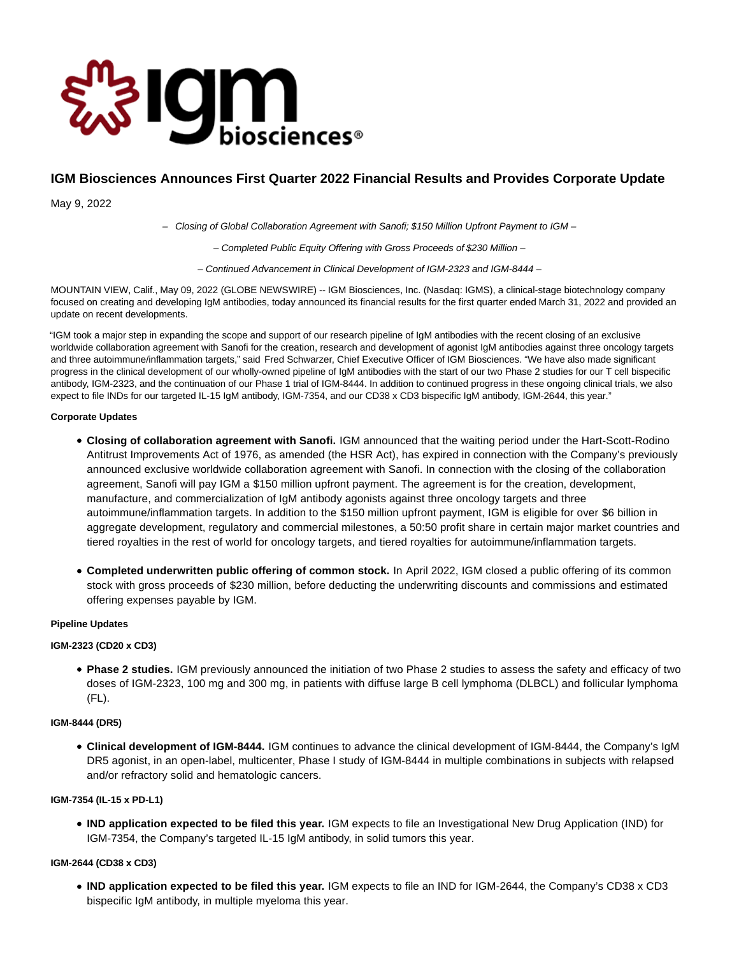

# **IGM Biosciences Announces First Quarter 2022 Financial Results and Provides Corporate Update**

May 9, 2022

– Closing of Global Collaboration Agreement with Sanofi; \$150 Million Upfront Payment to IGM –

– Completed Public Equity Offering with Gross Proceeds of \$230 Million –

– Continued Advancement in Clinical Development of IGM-2323 and IGM-8444 –

MOUNTAIN VIEW, Calif., May 09, 2022 (GLOBE NEWSWIRE) -- IGM Biosciences, Inc. (Nasdaq: IGMS), a clinical-stage biotechnology company focused on creating and developing IgM antibodies, today announced its financial results for the first quarter ended March 31, 2022 and provided an update on recent developments.

"IGM took a major step in expanding the scope and support of our research pipeline of IgM antibodies with the recent closing of an exclusive worldwide collaboration agreement with Sanofi for the creation, research and development of agonist IgM antibodies against three oncology targets and three autoimmune/inflammation targets," said Fred Schwarzer, Chief Executive Officer of IGM Biosciences. "We have also made significant progress in the clinical development of our wholly-owned pipeline of IgM antibodies with the start of our two Phase 2 studies for our T cell bispecific antibody, IGM-2323, and the continuation of our Phase 1 trial of IGM-8444. In addition to continued progress in these ongoing clinical trials, we also expect to file INDs for our targeted IL-15 IgM antibody, IGM-7354, and our CD38 x CD3 bispecific IgM antibody, IGM-2644, this year."

### **Corporate Updates**

- **Closing of collaboration agreement with Sanofi.** IGM announced that the waiting period under the Hart-Scott-Rodino Antitrust Improvements Act of 1976, as amended (the HSR Act), has expired in connection with the Company's previously announced exclusive worldwide collaboration agreement with Sanofi. In connection with the closing of the collaboration agreement, Sanofi will pay IGM a \$150 million upfront payment. The agreement is for the creation, development, manufacture, and commercialization of IgM antibody agonists against three oncology targets and three autoimmune/inflammation targets. In addition to the \$150 million upfront payment, IGM is eligible for over \$6 billion in aggregate development, regulatory and commercial milestones, a 50:50 profit share in certain major market countries and tiered royalties in the rest of world for oncology targets, and tiered royalties for autoimmune/inflammation targets.
- **Completed underwritten public offering of common stock.** In April 2022, IGM closed a public offering of its common stock with gross proceeds of \$230 million, before deducting the underwriting discounts and commissions and estimated offering expenses payable by IGM.

#### **Pipeline Updates**

#### **IGM-2323 (CD20 x CD3)**

**Phase 2 studies.** IGM previously announced the initiation of two Phase 2 studies to assess the safety and efficacy of two doses of IGM-2323, 100 mg and 300 mg, in patients with diffuse large B cell lymphoma (DLBCL) and follicular lymphoma (FL).

#### **IGM-8444 (DR5)**

**Clinical development of IGM-8444.** IGM continues to advance the clinical development of IGM-8444, the Company's IgM DR5 agonist, in an open-label, multicenter, Phase I study of IGM-8444 in multiple combinations in subjects with relapsed and/or refractory solid and hematologic cancers.

#### **IGM-7354 (IL-15 x PD-L1)**

**IND application expected to be filed this year.** IGM expects to file an Investigational New Drug Application (IND) for IGM-7354, the Company's targeted IL-15 IgM antibody, in solid tumors this year.

#### **IGM-2644 (CD38 x CD3)**

**IND application expected to be filed this year.** IGM expects to file an IND for IGM-2644, the Company's CD38 x CD3 bispecific IgM antibody, in multiple myeloma this year.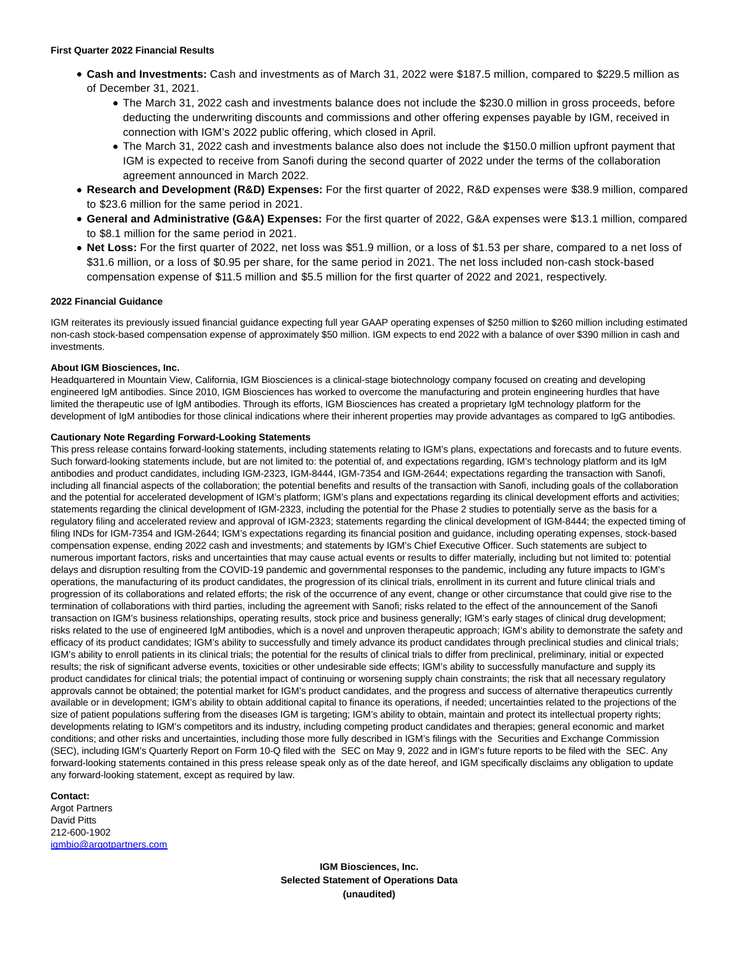- **Cash and Investments:** Cash and investments as of March 31, 2022 were \$187.5 million, compared to \$229.5 million as of December 31, 2021.
	- The March 31, 2022 cash and investments balance does not include the \$230.0 million in gross proceeds, before deducting the underwriting discounts and commissions and other offering expenses payable by IGM, received in connection with IGM's 2022 public offering, which closed in April.
	- The March 31, 2022 cash and investments balance also does not include the \$150.0 million upfront payment that IGM is expected to receive from Sanofi during the second quarter of 2022 under the terms of the collaboration agreement announced in March 2022.
- **Research and Development (R&D) Expenses:** For the first quarter of 2022, R&D expenses were \$38.9 million, compared to \$23.6 million for the same period in 2021.
- **General and Administrative (G&A) Expenses:** For the first quarter of 2022, G&A expenses were \$13.1 million, compared to \$8.1 million for the same period in 2021.
- **Net Loss:** For the first quarter of 2022, net loss was \$51.9 million, or a loss of \$1.53 per share, compared to a net loss of \$31.6 million, or a loss of \$0.95 per share, for the same period in 2021. The net loss included non-cash stock-based compensation expense of \$11.5 million and \$5.5 million for the first quarter of 2022 and 2021, respectively.

#### **2022 Financial Guidance**

IGM reiterates its previously issued financial guidance expecting full year GAAP operating expenses of \$250 million to \$260 million including estimated non-cash stock-based compensation expense of approximately \$50 million. IGM expects to end 2022 with a balance of over \$390 million in cash and investments.

## **About IGM Biosciences, Inc.**

Headquartered in Mountain View, California, IGM Biosciences is a clinical-stage biotechnology company focused on creating and developing engineered IgM antibodies. Since 2010, IGM Biosciences has worked to overcome the manufacturing and protein engineering hurdles that have limited the therapeutic use of IgM antibodies. Through its efforts, IGM Biosciences has created a proprietary IgM technology platform for the development of IgM antibodies for those clinical indications where their inherent properties may provide advantages as compared to IgG antibodies.

#### **Cautionary Note Regarding Forward-Looking Statements**

This press release contains forward-looking statements, including statements relating to IGM's plans, expectations and forecasts and to future events. Such forward-looking statements include, but are not limited to: the potential of, and expectations regarding, IGM's technology platform and its IgM antibodies and product candidates, including IGM-2323, IGM-8444, IGM-7354 and IGM-2644; expectations regarding the transaction with Sanofi, including all financial aspects of the collaboration; the potential benefits and results of the transaction with Sanofi, including goals of the collaboration and the potential for accelerated development of IGM's platform; IGM's plans and expectations regarding its clinical development efforts and activities; statements regarding the clinical development of IGM-2323, including the potential for the Phase 2 studies to potentially serve as the basis for a regulatory filing and accelerated review and approval of IGM-2323; statements regarding the clinical development of IGM-8444; the expected timing of filing INDs for IGM-7354 and IGM-2644; IGM's expectations regarding its financial position and guidance, including operating expenses, stock-based compensation expense, ending 2022 cash and investments; and statements by IGM's Chief Executive Officer. Such statements are subject to numerous important factors, risks and uncertainties that may cause actual events or results to differ materially, including but not limited to: potential delays and disruption resulting from the COVID-19 pandemic and governmental responses to the pandemic, including any future impacts to IGM's operations, the manufacturing of its product candidates, the progression of its clinical trials, enrollment in its current and future clinical trials and progression of its collaborations and related efforts; the risk of the occurrence of any event, change or other circumstance that could give rise to the termination of collaborations with third parties, including the agreement with Sanofi; risks related to the effect of the announcement of the Sanofi transaction on IGM's business relationships, operating results, stock price and business generally; IGM's early stages of clinical drug development; risks related to the use of engineered IgM antibodies, which is a novel and unproven therapeutic approach; IGM's ability to demonstrate the safety and efficacy of its product candidates; IGM's ability to successfully and timely advance its product candidates through preclinical studies and clinical trials; IGM's ability to enroll patients in its clinical trials; the potential for the results of clinical trials to differ from preclinical, preliminary, initial or expected results; the risk of significant adverse events, toxicities or other undesirable side effects; IGM's ability to successfully manufacture and supply its product candidates for clinical trials; the potential impact of continuing or worsening supply chain constraints; the risk that all necessary regulatory approvals cannot be obtained; the potential market for IGM's product candidates, and the progress and success of alternative therapeutics currently available or in development; IGM's ability to obtain additional capital to finance its operations, if needed; uncertainties related to the projections of the size of patient populations suffering from the diseases IGM is targeting; IGM's ability to obtain, maintain and protect its intellectual property rights; developments relating to IGM's competitors and its industry, including competing product candidates and therapies; general economic and market conditions; and other risks and uncertainties, including those more fully described in IGM's filings with the Securities and Exchange Commission (SEC), including IGM's Quarterly Report on Form 10-Q filed with the SEC on May 9, 2022 and in IGM's future reports to be filed with the SEC. Any forward-looking statements contained in this press release speak only as of the date hereof, and IGM specifically disclaims any obligation to update any forward-looking statement, except as required by law.

#### **Contact:**

Argot Partners David Pitts 212-600-1902 [igmbio@argotpartners.com](mailto:igmbio@argotpartners.com)

> **IGM Biosciences, Inc. Selected Statement of Operations Data (unaudited)**